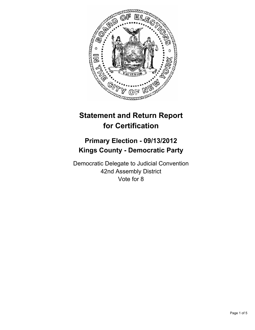

# **Statement and Return Report for Certification**

## **Primary Election - 09/13/2012 Kings County - Democratic Party**

Democratic Delegate to Judicial Convention 42nd Assembly District Vote for 8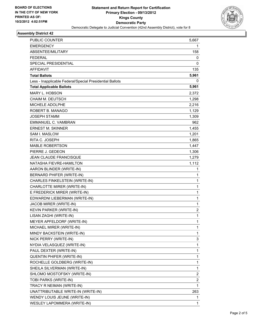

#### **Assembly District 42**

| <b>PUBLIC COUNTER</b>                                    | 5,667        |
|----------------------------------------------------------|--------------|
| <b>EMERGENCY</b>                                         | 1            |
| ABSENTEE/MILITARY                                        | 158          |
| <b>FEDERAL</b>                                           | 0            |
| <b>SPECIAL PRESIDENTIAL</b>                              | 0            |
| <b>AFFIDAVIT</b>                                         | 135          |
| <b>Total Ballots</b>                                     | 5,961        |
| Less - Inapplicable Federal/Special Presidential Ballots | 0            |
| <b>Total Applicable Ballots</b>                          | 5,961        |
| MARY L. HOBSON                                           | 2,372        |
| CHAIM M. DEUTSCH                                         | 1,298        |
| MICHELE ADOLPHE                                          | 2,216        |
| ROBERT B. MANAGO                                         | 1,129        |
| JOSEPH STAMM                                             | 1,309        |
| <b>EMMANUEL C. VAMBRAN</b>                               | 962          |
| <b>ERNEST M. SKINNER</b>                                 | 1,455        |
| <b>SAM I. MASLOW</b>                                     | 1,201        |
| RITA C. JOSEPH                                           | 1,865        |
| <b>MABLE ROBERTSON</b>                                   | 1,447        |
| PIERRE J. GEDEON                                         | 1,306        |
| JEAN CLAUDE FRANCISQUE                                   | 1,279        |
| NATASHA FIEVRE-HAMILTON                                  | 1,112        |
| AARON BLINDER (WRITE-IN)                                 | 1            |
| BERNARD PHIFER (WRITE-IN)                                | 1            |
| CHARLES FINKELSTEIN (WRITE-IN)                           | $\mathbf{1}$ |
| CHARLOTTE MIRER (WRITE-IN)                               | 1            |
| E FREDERICK MIRER (WRITE-IN)                             | 1            |
| EDWARDNI LIEBERMAN (WRITE-IN)                            | $\mathbf{1}$ |
| JACOB MIRER (WRITE-IN)                                   | 1            |
| KEVIN PARKER (WRITE-IN)                                  | 2            |
| LISAN ZAGHI (WRITE-IN)                                   | 1            |
| MEYER APFELDORF (WRITE-IN)                               | 1            |
| MICHAEL MIRER (WRITE-IN)                                 | 1            |
| MINDY BACKSTEIN (WRITE-IN)                               | 1            |
| NICK PERRY (WRITE-IN)                                    | 3            |
| NYDIA VELASQUEZ (WRITE-IN)                               | 1            |
| PAUL DEXTER (WRITE-IN)                                   | 1            |
| QUENTIN PHIFER (WRITE-IN)                                | 1            |
| ROCHELLE GOLDBERG (WRITE-IN)                             | 1            |
| SHEILA SILVERMAN (WRITE-IN)                              | $\mathbf{1}$ |
| SHLOMO MOSTOFSKY (WRITE-IN)                              | 2            |
| TOBI PARKS (WRITE-IN)                                    | 2            |
| TRACY R NEIMAN (WRITE-IN)                                | $\mathbf 1$  |
| UNATTRIBUTABLE WRITE-IN (WRITE-IN)                       | 263          |
| WENDY LOUIS JEUNE (WRITE-IN)                             | 1            |
| WESLEY LAPOMMERA (WRITE-IN)                              | 1            |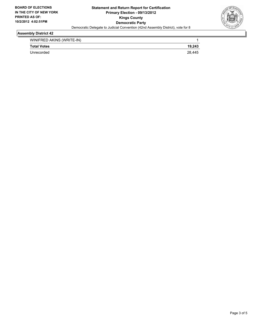

#### **Assembly District 42**

| WINIFRED AKINS (WRITE-IN) |        |
|---------------------------|--------|
| <b>Total Votes</b>        | 19.243 |
| Unrecorded                | 28.445 |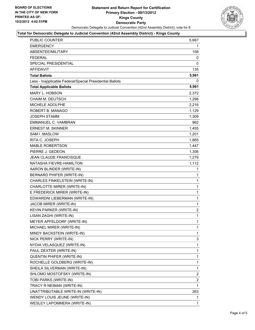

#### **Total for Democratic Delegate to Judicial Convention (42nd Assembly District) - Kings County**

| PUBLIC COUNTER                                           | 5,667          |
|----------------------------------------------------------|----------------|
| <b>EMERGENCY</b>                                         | 1              |
| ABSENTEE/MILITARY                                        | 158            |
| FEDERAL                                                  | 0              |
| SPECIAL PRESIDENTIAL                                     | 0              |
| <b>AFFIDAVIT</b>                                         | 135            |
| <b>Total Ballots</b>                                     | 5,961          |
| Less - Inapplicable Federal/Special Presidential Ballots | 0              |
| <b>Total Applicable Ballots</b>                          | 5,961          |
| MARY L. HOBSON                                           | 2,372          |
| <b>CHAIM M. DEUTSCH</b>                                  | 1,298          |
| MICHELE ADOLPHE                                          | 2,216          |
| ROBERT B. MANAGO                                         | 1,129          |
| <b>JOSEPH STAMM</b>                                      | 1,309          |
| <b>EMMANUEL C. VAMBRAN</b>                               | 962            |
| <b>ERNEST M. SKINNER</b>                                 | 1,455          |
| SAM I. MASLOW                                            | 1,201          |
| RITA C. JOSEPH                                           | 1,865          |
| MABLE ROBERTSON                                          | 1,447          |
| PIERRE J. GEDEON                                         | 1,306          |
| JEAN CLAUDE FRANCISQUE                                   | 1,279          |
| NATASHA FIEVRE-HAMILTON                                  | 1,112          |
| AARON BLINDER (WRITE-IN)                                 | 1              |
| BERNARD PHIFER (WRITE-IN)                                | 1              |
| CHARLES FINKELSTEIN (WRITE-IN)                           | $\mathbf{1}$   |
| CHARLOTTE MIRER (WRITE-IN)                               | 1              |
| E FREDERICK MIRER (WRITE-IN)                             | 1              |
| EDWARDNI LIEBERMAN (WRITE-IN)                            | $\mathbf{1}$   |
| JACOB MIRER (WRITE-IN)                                   | 1              |
| KEVIN PARKER (WRITE-IN)                                  | $\overline{c}$ |
| LISAN ZAGHI (WRITE-IN)                                   | $\mathbf{1}$   |
| MEYER APFELDORF (WRITE-IN)                               | $\mathbf{1}$   |
| MICHAEL MIRER (WRITE-IN)                                 | $\mathbf 1$    |
| MINDY BACKSTEIN (WRITE-IN)                               | 1              |
| NICK PERRY (WRITE-IN)                                    | 3              |
| NYDIA VELASQUEZ (WRITE-IN)                               | 1              |
| PAUL DEXTER (WRITE-IN)                                   | 1              |
| QUENTIN PHIFER (WRITE-IN)                                | 1              |
| ROCHELLE GOLDBERG (WRITE-IN)                             | 1              |
| SHEILA SILVERMAN (WRITE-IN)                              | 1              |
| SHLOMO MOSTOFSKY (WRITE-IN)                              | 2              |
| TOBI PARKS (WRITE-IN)                                    | 2              |
| TRACY R NEIMAN (WRITE-IN)                                | 1              |
| UNATTRIBUTABLE WRITE-IN (WRITE-IN)                       | 263            |
| WENDY LOUIS JEUNE (WRITE-IN)                             | 1              |
| WESLEY LAPOMMERA (WRITE-IN)                              | 1              |